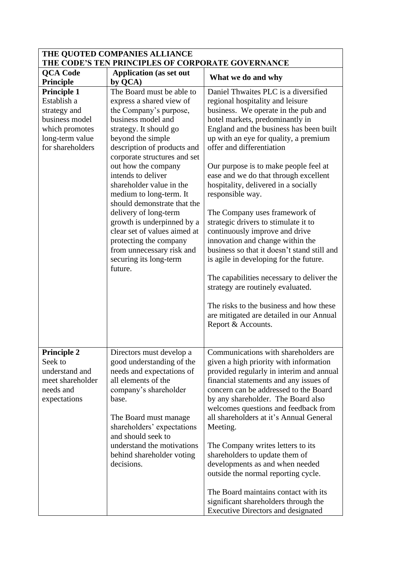| THE QUOTED COMPANIES ALLIANCE<br>THE CODE'S TEN PRINCIPLES OF CORPORATE GOVERNANCE                                    |                                                                                                                                                                                                                                                                                                                                                                                                                                                                                                                                           |                                                                                                                                                                                                                                                                                                                                                                                                                                                                                                                                                                                                                                                                                                                                                                                                                                                          |  |
|-----------------------------------------------------------------------------------------------------------------------|-------------------------------------------------------------------------------------------------------------------------------------------------------------------------------------------------------------------------------------------------------------------------------------------------------------------------------------------------------------------------------------------------------------------------------------------------------------------------------------------------------------------------------------------|----------------------------------------------------------------------------------------------------------------------------------------------------------------------------------------------------------------------------------------------------------------------------------------------------------------------------------------------------------------------------------------------------------------------------------------------------------------------------------------------------------------------------------------------------------------------------------------------------------------------------------------------------------------------------------------------------------------------------------------------------------------------------------------------------------------------------------------------------------|--|
| <b>QCA Code</b><br>Principle                                                                                          | <b>Application</b> (as set out<br>by QCA)                                                                                                                                                                                                                                                                                                                                                                                                                                                                                                 | What we do and why                                                                                                                                                                                                                                                                                                                                                                                                                                                                                                                                                                                                                                                                                                                                                                                                                                       |  |
| Principle 1<br>Establish a<br>strategy and<br>business model<br>which promotes<br>long-term value<br>for shareholders | The Board must be able to<br>express a shared view of<br>the Company's purpose,<br>business model and<br>strategy. It should go<br>beyond the simple<br>description of products and<br>corporate structures and set<br>out how the company<br>intends to deliver<br>shareholder value in the<br>medium to long-term. It<br>should demonstrate that the<br>delivery of long-term<br>growth is underpinned by a<br>clear set of values aimed at<br>protecting the company<br>from unnecessary risk and<br>securing its long-term<br>future. | Daniel Thwaites PLC is a diversified<br>regional hospitality and leisure<br>business. We operate in the pub and<br>hotel markets, predominantly in<br>England and the business has been built<br>up with an eye for quality, a premium<br>offer and differentiation<br>Our purpose is to make people feel at<br>ease and we do that through excellent<br>hospitality, delivered in a socially<br>responsible way.<br>The Company uses framework of<br>strategic drivers to stimulate it to<br>continuously improve and drive<br>innovation and change within the<br>business so that it doesn't stand still and<br>is agile in developing for the future.<br>The capabilities necessary to deliver the<br>strategy are routinely evaluated.<br>The risks to the business and how these<br>are mitigated are detailed in our Annual<br>Report & Accounts. |  |
| <b>Principle 2</b><br>Seek to<br>understand and<br>meet shareholder<br>needs and<br>expectations                      | Directors must develop a<br>good understanding of the<br>needs and expectations of<br>all elements of the<br>company's shareholder<br>base.<br>The Board must manage<br>shareholders' expectations<br>and should seek to<br>understand the motivations<br>behind shareholder voting<br>decisions.                                                                                                                                                                                                                                         | Communications with shareholders are<br>given a high priority with information<br>provided regularly in interim and annual<br>financial statements and any issues of<br>concern can be addressed to the Board<br>by any shareholder. The Board also<br>welcomes questions and feedback from<br>all shareholders at it's Annual General<br>Meeting.<br>The Company writes letters to its<br>shareholders to update them of<br>developments as and when needed<br>outside the normal reporting cycle.<br>The Board maintains contact with its<br>significant shareholders through the                                                                                                                                                                                                                                                                      |  |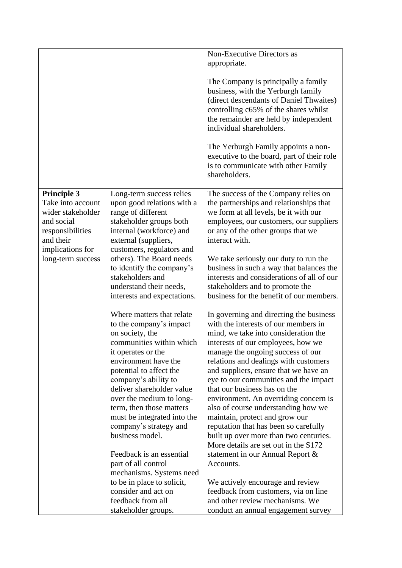|                    |                             | Non-Executive Directors as                 |
|--------------------|-----------------------------|--------------------------------------------|
|                    |                             | appropriate.                               |
|                    |                             |                                            |
|                    |                             | The Company is principally a family        |
|                    |                             | business, with the Yerburgh family         |
|                    |                             | (direct descendants of Daniel Thwaites)    |
|                    |                             | controlling c65% of the shares whilst      |
|                    |                             | the remainder are held by independent      |
|                    |                             | individual shareholders.                   |
|                    |                             |                                            |
|                    |                             | The Yerburgh Family appoints a non-        |
|                    |                             | executive to the board, part of their role |
|                    |                             | is to communicate with other Family        |
|                    |                             | shareholders.                              |
|                    |                             |                                            |
| <b>Principle 3</b> | Long-term success relies    | The success of the Company relies on       |
| Take into account  | upon good relations with a  | the partnerships and relationships that    |
| wider stakeholder  | range of different          | we form at all levels, be it with our      |
| and social         | stakeholder groups both     | employees, our customers, our suppliers    |
| responsibilities   | internal (workforce) and    | or any of the other groups that we         |
| and their          | external (suppliers,        | interact with.                             |
| implications for   | customers, regulators and   |                                            |
| long-term success  | others). The Board needs    | We take seriously our duty to run the      |
|                    | to identify the company's   | business in such a way that balances the   |
|                    | stakeholders and            | interests and considerations of all of our |
|                    | understand their needs,     | stakeholders and to promote the            |
|                    | interests and expectations. | business for the benefit of our members.   |
|                    |                             |                                            |
|                    | Where matters that relate   | In governing and directing the business    |
|                    | to the company's impact     | with the interests of our members in       |
|                    | on society, the             | mind, we take into consideration the       |
|                    | communities within which    | interests of our employees, how we         |
|                    | it operates or the          | manage the ongoing success of our          |
|                    | environment have the        | relations and dealings with customers      |
|                    | potential to affect the     | and suppliers, ensure that we have an      |
|                    | company's ability to        | eye to our communities and the impact      |
|                    | deliver shareholder value   | that our business has on the               |
|                    | over the medium to long-    | environment. An overriding concern is      |
|                    | term, then those matters    | also of course understanding how we        |
|                    | must be integrated into the | maintain, protect and grow our             |
|                    | company's strategy and      | reputation that has been so carefully      |
|                    | business model.             | built up over more than two centuries.     |
|                    |                             | More details are set out in the S172       |
|                    | Feedback is an essential    | statement in our Annual Report &           |
|                    | part of all control         | Accounts.                                  |
|                    | mechanisms. Systems need    |                                            |
|                    | to be in place to solicit,  | We actively encourage and review           |
|                    | consider and act on         | feedback from customers, via on line       |
|                    | feedback from all           | and other review mechanisms. We            |
|                    | stakeholder groups.         | conduct an annual engagement survey        |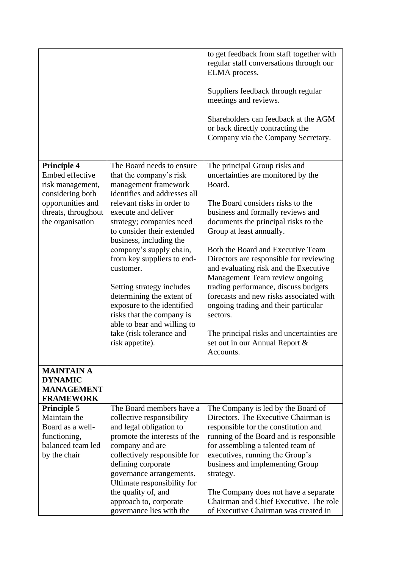|                                                                                                                                               |                                                                                                                                                                                                                                                                                                                                                                                                                                                                                                                                 | to get feedback from staff together with<br>regular staff conversations through our<br>ELMA process.<br>Suppliers feedback through regular<br>meetings and reviews.<br>Shareholders can feedback at the AGM<br>or back directly contracting the<br>Company via the Company Secretary.                                                                                                                                                                                                                                                                                                                                     |
|-----------------------------------------------------------------------------------------------------------------------------------------------|---------------------------------------------------------------------------------------------------------------------------------------------------------------------------------------------------------------------------------------------------------------------------------------------------------------------------------------------------------------------------------------------------------------------------------------------------------------------------------------------------------------------------------|---------------------------------------------------------------------------------------------------------------------------------------------------------------------------------------------------------------------------------------------------------------------------------------------------------------------------------------------------------------------------------------------------------------------------------------------------------------------------------------------------------------------------------------------------------------------------------------------------------------------------|
| <b>Principle 4</b><br>Embed effective<br>risk management,<br>considering both<br>opportunities and<br>threats, throughout<br>the organisation | The Board needs to ensure<br>that the company's risk<br>management framework<br>identifies and addresses all<br>relevant risks in order to<br>execute and deliver<br>strategy; companies need<br>to consider their extended<br>business, including the<br>company's supply chain,<br>from key suppliers to end-<br>customer.<br>Setting strategy includes<br>determining the extent of<br>exposure to the identified<br>risks that the company is<br>able to bear and willing to<br>take (risk tolerance and<br>risk appetite). | The principal Group risks and<br>uncertainties are monitored by the<br>Board.<br>The Board considers risks to the<br>business and formally reviews and<br>documents the principal risks to the<br>Group at least annually.<br>Both the Board and Executive Team<br>Directors are responsible for reviewing<br>and evaluating risk and the Executive<br>Management Team review ongoing<br>trading performance, discuss budgets<br>forecasts and new risks associated with<br>ongoing trading and their particular<br>sectors.<br>The principal risks and uncertainties are.<br>set out in our Annual Report &<br>Accounts. |
| <b>MAINTAIN A</b><br><b>DYNAMIC</b><br><b>MANAGEMENT</b><br><b>FRAMEWORK</b>                                                                  |                                                                                                                                                                                                                                                                                                                                                                                                                                                                                                                                 |                                                                                                                                                                                                                                                                                                                                                                                                                                                                                                                                                                                                                           |
| <b>Principle 5</b><br>Maintain the<br>Board as a well-<br>functioning,<br>balanced team led<br>by the chair                                   | The Board members have a<br>collective responsibility<br>and legal obligation to<br>promote the interests of the<br>company and are<br>collectively responsible for<br>defining corporate<br>governance arrangements.<br>Ultimate responsibility for<br>the quality of, and<br>approach to, corporate<br>governance lies with the                                                                                                                                                                                               | The Company is led by the Board of<br>Directors. The Executive Chairman is<br>responsible for the constitution and<br>running of the Board and is responsible<br>for assembling a talented team of<br>executives, running the Group's<br>business and implementing Group<br>strategy.<br>The Company does not have a separate<br>Chairman and Chief Executive. The role<br>of Executive Chairman was created in                                                                                                                                                                                                           |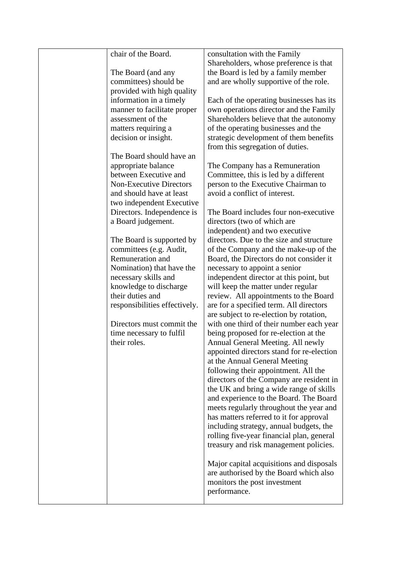| chair of the Board.            | consultation with the Family              |
|--------------------------------|-------------------------------------------|
|                                | Shareholders, whose preference is that    |
| The Board (and any             | the Board is led by a family member       |
| committees) should be          | and are wholly supportive of the role.    |
| provided with high quality     |                                           |
| information in a timely        | Each of the operating businesses has its  |
| manner to facilitate proper    | own operations director and the Family    |
| assessment of the              | Shareholders believe that the autonomy    |
| matters requiring a            | of the operating businesses and the       |
| decision or insight.           | strategic development of them benefits    |
|                                | from this segregation of duties.          |
| The Board should have an       |                                           |
| appropriate balance            | The Company has a Remuneration            |
| between Executive and          | Committee, this is led by a different     |
| <b>Non-Executive Directors</b> | person to the Executive Chairman to       |
| and should have at least       | avoid a conflict of interest.             |
|                                |                                           |
| two independent Executive      | The Board includes four non-executive     |
| Directors. Independence is     |                                           |
| a Board judgement.             | directors (two of which are               |
|                                | independent) and two executive            |
| The Board is supported by      | directors. Due to the size and structure  |
| committees (e.g. Audit,        | of the Company and the make-up of the     |
| Remuneration and               | Board, the Directors do not consider it   |
| Nomination) that have the      | necessary to appoint a senior             |
| necessary skills and           | independent director at this point, but   |
| knowledge to discharge         | will keep the matter under regular        |
| their duties and               | review. All appointments to the Board     |
| responsibilities effectively.  | are for a specified term. All directors   |
|                                | are subject to re-election by rotation,   |
| Directors must commit the      | with one third of their number each year  |
| time necessary to fulfil       | being proposed for re-election at the     |
| their roles.                   | Annual General Meeting. All newly         |
|                                | appointed directors stand for re-election |
|                                | at the Annual General Meeting             |
|                                | following their appointment. All the      |
|                                | directors of the Company are resident in  |
|                                | the UK and bring a wide range of skills   |
|                                | and experience to the Board. The Board    |
|                                |                                           |
|                                | meets regularly throughout the year and   |
|                                | has matters referred to it for approval   |
|                                | including strategy, annual budgets, the   |
|                                | rolling five-year financial plan, general |
|                                | treasury and risk management policies.    |
|                                |                                           |
|                                | Major capital acquisitions and disposals  |
|                                | are authorised by the Board which also    |
|                                | monitors the post investment              |
|                                | performance.                              |
|                                |                                           |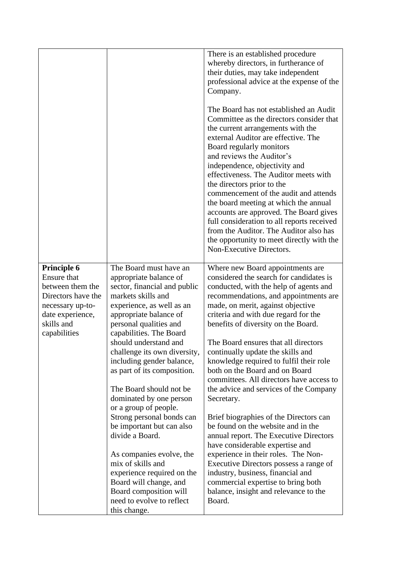|                                                                                                                                                          |                                                                                                                                                                                                                                                                                                                                         | There is an established procedure<br>whereby directors, in furtherance of<br>their duties, may take independent<br>professional advice at the expense of the<br>Company.<br>The Board has not established an Audit<br>Committee as the directors consider that<br>the current arrangements with the<br>external Auditor are effective. The<br>Board regularly monitors<br>and reviews the Auditor's<br>independence, objectivity and<br>effectiveness. The Auditor meets with<br>the directors prior to the<br>commencement of the audit and attends<br>the board meeting at which the annual<br>accounts are approved. The Board gives<br>full consideration to all reports received<br>from the Auditor. The Auditor also has<br>the opportunity to meet directly with the<br>Non-Executive Directors. |
|----------------------------------------------------------------------------------------------------------------------------------------------------------|-----------------------------------------------------------------------------------------------------------------------------------------------------------------------------------------------------------------------------------------------------------------------------------------------------------------------------------------|----------------------------------------------------------------------------------------------------------------------------------------------------------------------------------------------------------------------------------------------------------------------------------------------------------------------------------------------------------------------------------------------------------------------------------------------------------------------------------------------------------------------------------------------------------------------------------------------------------------------------------------------------------------------------------------------------------------------------------------------------------------------------------------------------------|
| <b>Principle 6</b><br><b>Ensure that</b><br>between them the<br>Directors have the<br>necessary up-to-<br>date experience,<br>skills and<br>capabilities | The Board must have an<br>appropriate balance of<br>sector, financial and public<br>markets skills and<br>experience, as well as an<br>appropriate balance of<br>personal qualities and<br>capabilities. The Board<br>should understand and<br>challenge its own diversity,<br>including gender balance,<br>as part of its composition. | Where new Board appointments are<br>considered the search for candidates is<br>conducted, with the help of agents and<br>recommendations, and appointments are<br>made, on merit, against objective<br>criteria and with due regard for the<br>benefits of diversity on the Board.<br>The Board ensures that all directors<br>continually update the skills and<br>knowledge required to fulfil their role<br>both on the Board and on Board                                                                                                                                                                                                                                                                                                                                                             |
|                                                                                                                                                          | The Board should not be<br>dominated by one person                                                                                                                                                                                                                                                                                      | committees. All directors have access to<br>the advice and services of the Company<br>Secretary.                                                                                                                                                                                                                                                                                                                                                                                                                                                                                                                                                                                                                                                                                                         |
|                                                                                                                                                          | or a group of people.<br>Strong personal bonds can<br>be important but can also<br>divide a Board.                                                                                                                                                                                                                                      | Brief biographies of the Directors can<br>be found on the website and in the<br>annual report. The Executive Directors<br>have considerable expertise and                                                                                                                                                                                                                                                                                                                                                                                                                                                                                                                                                                                                                                                |
|                                                                                                                                                          | As companies evolve, the<br>mix of skills and<br>experience required on the<br>Board will change, and<br>Board composition will<br>need to evolve to reflect<br>this change.                                                                                                                                                            | experience in their roles. The Non-<br>Executive Directors possess a range of<br>industry, business, financial and<br>commercial expertise to bring both<br>balance, insight and relevance to the<br>Board.                                                                                                                                                                                                                                                                                                                                                                                                                                                                                                                                                                                              |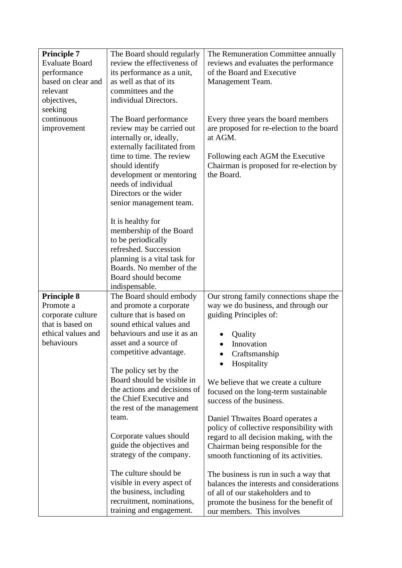| <b>Principle 7</b>              | The Board should regularly                         | The Remuneration Committee annually                                            |
|---------------------------------|----------------------------------------------------|--------------------------------------------------------------------------------|
| <b>Evaluate Board</b>           | review the effectiveness of                        | reviews and evaluates the performance                                          |
| performance                     | its performance as a unit,                         | of the Board and Executive                                                     |
| based on clear and              | as well as that of its                             | Management Team.                                                               |
| relevant                        | committees and the                                 |                                                                                |
| objectives,                     | individual Directors.                              |                                                                                |
| seeking                         |                                                    |                                                                                |
| continuous                      | The Board performance                              | Every three years the board members                                            |
| improvement                     | review may be carried out                          | are proposed for re-election to the board                                      |
|                                 | internally or, ideally,                            | at AGM.                                                                        |
|                                 | externally facilitated from                        |                                                                                |
|                                 | time to time. The review                           | Following each AGM the Executive                                               |
|                                 | should identify                                    | Chairman is proposed for re-election by                                        |
|                                 | development or mentoring                           | the Board.                                                                     |
|                                 | needs of individual                                |                                                                                |
|                                 | Directors or the wider                             |                                                                                |
|                                 | senior management team.                            |                                                                                |
|                                 |                                                    |                                                                                |
|                                 | It is healthy for                                  |                                                                                |
|                                 | membership of the Board                            |                                                                                |
|                                 | to be periodically                                 |                                                                                |
|                                 | refreshed. Succession                              |                                                                                |
|                                 | planning is a vital task for                       |                                                                                |
|                                 | Boards. No member of the                           |                                                                                |
|                                 | Board should become                                |                                                                                |
|                                 | indispensable.                                     |                                                                                |
| <b>Principle 8</b><br>Promote a | The Board should embody<br>and promote a corporate | Our strong family connections shape the<br>way we do business, and through our |
| corporate culture               | culture that is based on                           | guiding Principles of:                                                         |
| that is based on                | sound ethical values and                           |                                                                                |
| ethical values and              | behaviours and use it as an                        | Quality                                                                        |
| behaviours                      | asset and a source of                              | Innovation                                                                     |
|                                 | competitive advantage.                             |                                                                                |
|                                 |                                                    | Craftsmanship                                                                  |
|                                 | The policy set by the                              | Hospitality                                                                    |
|                                 | Board should be visible in                         | We believe that we create a culture                                            |
|                                 | the actions and decisions of                       | focused on the long-term sustainable                                           |
|                                 | the Chief Executive and                            | success of the business.                                                       |
|                                 | the rest of the management                         |                                                                                |
|                                 | team.                                              | Daniel Thwaites Board operates a                                               |
|                                 |                                                    | policy of collective responsibility with                                       |
|                                 | Corporate values should                            | regard to all decision making, with the                                        |
|                                 | guide the objectives and                           | Chairman being responsible for the                                             |
|                                 | strategy of the company.                           | smooth functioning of its activities.                                          |
|                                 |                                                    |                                                                                |
|                                 | The culture should be                              | The business is run in such a way that                                         |
|                                 | visible in every aspect of                         | balances the interests and considerations                                      |
|                                 | the business, including                            | of all of our stakeholders and to                                              |
|                                 | recruitment, nominations,                          | promote the business for the benefit of                                        |
|                                 | training and engagement.                           | our members. This involves                                                     |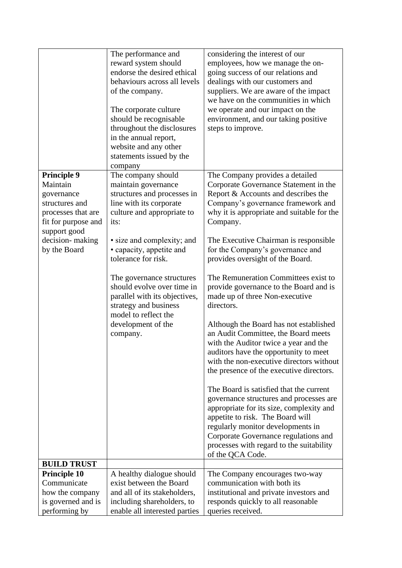|                                                                                                                                                                | The performance and<br>reward system should<br>endorse the desired ethical<br>behaviours across all levels<br>of the company.<br>The corporate culture<br>should be recognisable<br>throughout the disclosures<br>in the annual report,<br>website and any other<br>statements issued by the<br>company                                                                                                   | considering the interest of our<br>employees, how we manage the on-<br>going success of our relations and<br>dealings with our customers and<br>suppliers. We are aware of the impact<br>we have on the communities in which<br>we operate and our impact on the<br>environment, and our taking positive<br>steps to improve.                                                                                                                                                                                                                                                                                                                                                                                                                                                                                                                                                                                                                                                                                                                    |
|----------------------------------------------------------------------------------------------------------------------------------------------------------------|-----------------------------------------------------------------------------------------------------------------------------------------------------------------------------------------------------------------------------------------------------------------------------------------------------------------------------------------------------------------------------------------------------------|--------------------------------------------------------------------------------------------------------------------------------------------------------------------------------------------------------------------------------------------------------------------------------------------------------------------------------------------------------------------------------------------------------------------------------------------------------------------------------------------------------------------------------------------------------------------------------------------------------------------------------------------------------------------------------------------------------------------------------------------------------------------------------------------------------------------------------------------------------------------------------------------------------------------------------------------------------------------------------------------------------------------------------------------------|
| <b>Principle 9</b><br>Maintain<br>governance<br>structures and<br>processes that are<br>fit for purpose and<br>support good<br>decision-making<br>by the Board | The company should<br>maintain governance<br>structures and processes in<br>line with its corporate<br>culture and appropriate to<br>its:<br>• size and complexity; and<br>• capacity, appetite and<br>tolerance for risk.<br>The governance structures<br>should evolve over time in<br>parallel with its objectives,<br>strategy and business<br>model to reflect the<br>development of the<br>company. | The Company provides a detailed<br>Corporate Governance Statement in the<br>Report & Accounts and describes the<br>Company's governance framework and<br>why it is appropriate and suitable for the<br>Company.<br>The Executive Chairman is responsible<br>for the Company's governance and<br>provides oversight of the Board.<br>The Remuneration Committees exist to<br>provide governance to the Board and is<br>made up of three Non-executive<br>directors.<br>Although the Board has not established<br>an Audit Committee, the Board meets<br>with the Auditor twice a year and the<br>auditors have the opportunity to meet<br>with the non-executive directors without<br>the presence of the executive directors.<br>The Board is satisfied that the current<br>governance structures and processes are<br>appropriate for its size, complexity and<br>appetite to risk. The Board will<br>regularly monitor developments in<br>Corporate Governance regulations and<br>processes with regard to the suitability<br>of the QCA Code. |
| <b>BUILD TRUST</b>                                                                                                                                             |                                                                                                                                                                                                                                                                                                                                                                                                           |                                                                                                                                                                                                                                                                                                                                                                                                                                                                                                                                                                                                                                                                                                                                                                                                                                                                                                                                                                                                                                                  |
| <b>Principle 10</b>                                                                                                                                            | A healthy dialogue should                                                                                                                                                                                                                                                                                                                                                                                 | The Company encourages two-way                                                                                                                                                                                                                                                                                                                                                                                                                                                                                                                                                                                                                                                                                                                                                                                                                                                                                                                                                                                                                   |
| Communicate                                                                                                                                                    | exist between the Board                                                                                                                                                                                                                                                                                                                                                                                   | communication with both its                                                                                                                                                                                                                                                                                                                                                                                                                                                                                                                                                                                                                                                                                                                                                                                                                                                                                                                                                                                                                      |
| how the company                                                                                                                                                | and all of its stakeholders,                                                                                                                                                                                                                                                                                                                                                                              | institutional and private investors and                                                                                                                                                                                                                                                                                                                                                                                                                                                                                                                                                                                                                                                                                                                                                                                                                                                                                                                                                                                                          |
| is governed and is                                                                                                                                             | including shareholders, to                                                                                                                                                                                                                                                                                                                                                                                | responds quickly to all reasonable                                                                                                                                                                                                                                                                                                                                                                                                                                                                                                                                                                                                                                                                                                                                                                                                                                                                                                                                                                                                               |
| performing by                                                                                                                                                  | enable all interested parties                                                                                                                                                                                                                                                                                                                                                                             | queries received.                                                                                                                                                                                                                                                                                                                                                                                                                                                                                                                                                                                                                                                                                                                                                                                                                                                                                                                                                                                                                                |